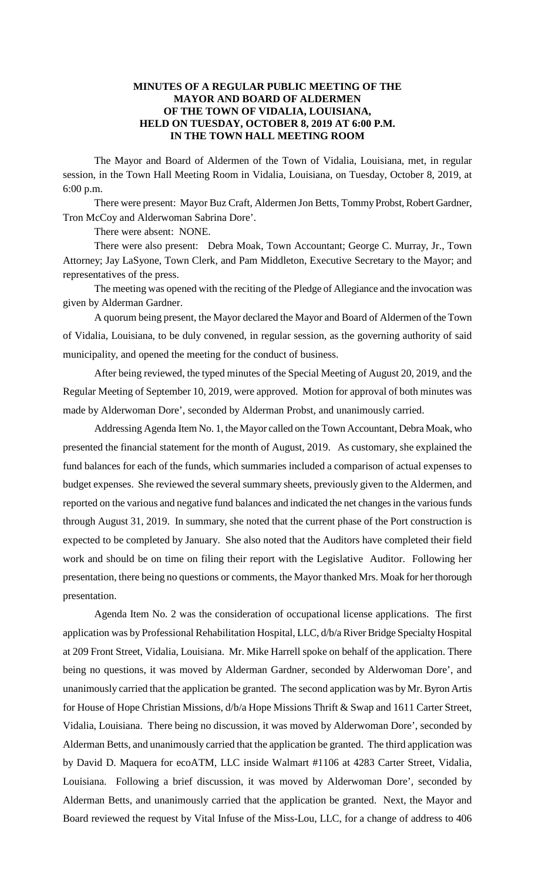## **MINUTES OF A REGULAR PUBLIC MEETING OF THE MAYOR AND BOARD OF ALDERMEN OF THE TOWN OF VIDALIA, LOUISIANA, HELD ON TUESDAY, OCTOBER 8, 2019 AT 6:00 P.M. IN THE TOWN HALL MEETING ROOM**

The Mayor and Board of Aldermen of the Town of Vidalia, Louisiana, met, in regular session, in the Town Hall Meeting Room in Vidalia, Louisiana, on Tuesday, October 8, 2019, at 6:00 p.m.

There were present: Mayor Buz Craft, Aldermen Jon Betts, Tommy Probst, Robert Gardner, Tron McCoy and Alderwoman Sabrina Dore'.

There were absent: NONE.

There were also present: Debra Moak, Town Accountant; George C. Murray, Jr., Town Attorney; Jay LaSyone, Town Clerk, and Pam Middleton, Executive Secretary to the Mayor; and representatives of the press.

The meeting was opened with the reciting of the Pledge of Allegiance and the invocation was given by Alderman Gardner.

A quorum being present, the Mayor declared the Mayor and Board of Aldermen of the Town of Vidalia, Louisiana, to be duly convened, in regular session, as the governing authority of said municipality, and opened the meeting for the conduct of business.

After being reviewed, the typed minutes of the Special Meeting of August 20, 2019, and the Regular Meeting of September 10, 2019, were approved. Motion for approval of both minutes was made by Alderwoman Dore', seconded by Alderman Probst, and unanimously carried.

Addressing Agenda Item No. 1, the Mayor called on the Town Accountant, Debra Moak, who presented the financial statement for the month of August, 2019. As customary, she explained the fund balances for each of the funds, which summaries included a comparison of actual expenses to budget expenses. She reviewed the several summary sheets, previously given to the Aldermen, and reported on the various and negative fund balances and indicated the net changes in the various funds through August 31, 2019. In summary, she noted that the current phase of the Port construction is expected to be completed by January. She also noted that the Auditors have completed their field work and should be on time on filing their report with the Legislative Auditor. Following her presentation, there being no questions or comments, the Mayor thanked Mrs. Moak for her thorough presentation.

Agenda Item No. 2 was the consideration of occupational license applications. The first application was by Professional Rehabilitation Hospital, LLC, d/b/a River Bridge Specialty Hospital at 209 Front Street, Vidalia, Louisiana. Mr. Mike Harrell spoke on behalf of the application. There being no questions, it was moved by Alderman Gardner, seconded by Alderwoman Dore', and unanimously carried that the application be granted. The second application was by Mr. Byron Artis for House of Hope Christian Missions, d/b/a Hope Missions Thrift & Swap and 1611 Carter Street, Vidalia, Louisiana. There being no discussion, it was moved by Alderwoman Dore', seconded by Alderman Betts, and unanimously carried that the application be granted. The third application was by David D. Maquera for ecoATM, LLC inside Walmart #1106 at 4283 Carter Street, Vidalia, Louisiana. Following a brief discussion, it was moved by Alderwoman Dore', seconded by Alderman Betts, and unanimously carried that the application be granted. Next, the Mayor and Board reviewed the request by Vital Infuse of the Miss-Lou, LLC, for a change of address to 406